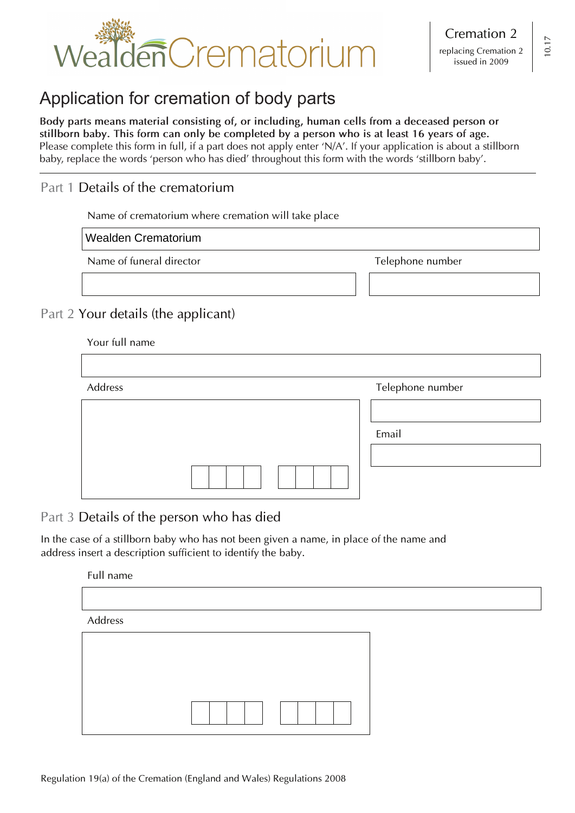

# Application for cremation of body parts

**Body parts means material consisting of, or including, human cells from a deceased person or stillborn baby. This form can only be completed by a person who is at least 16 years of age.** Please complete this form in full, if a part does not apply enter 'N/A'. If your application is about a stillborn baby, replace the words 'person who has died' throughout this form with the words 'stillborn baby'.

# Part 1 Details of the crematorium

Name of crematorium where cremation will take place

Wealden Crematorium

Name of funeral director Telephone number

# Part 2 Your details (the applicant)

| Address | Telephone number |
|---------|------------------|
|         |                  |
|         | Email            |
|         |                  |
|         |                  |

Part 3 Details of the person who has died

In the case of a stillborn baby who has not been given a name, in place of the name and address insert a description sufficient to identify the baby.

Full name

Address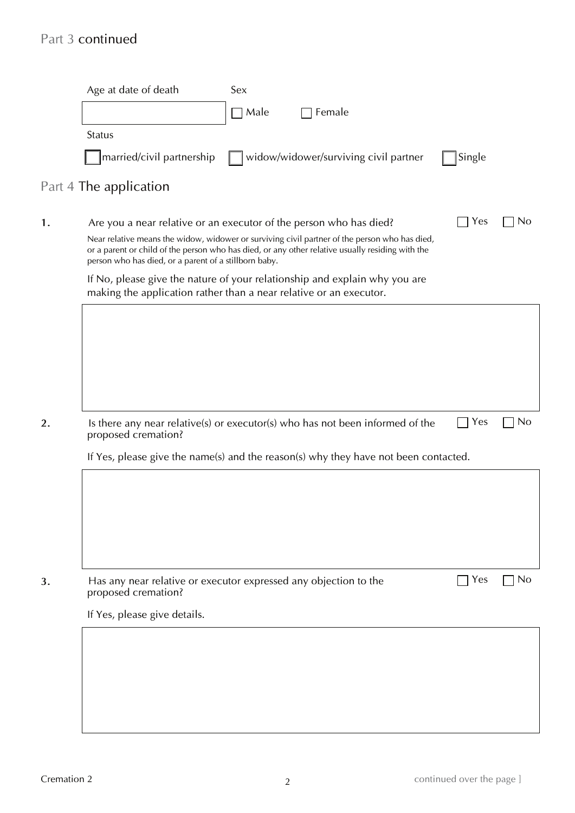# Part 3 continued

| Female<br>Male<br><b>Status</b><br>widow/widower/surviving civil partner<br> married/civil partnership<br>Single<br>Part 4 The application<br>Yes<br>Are you a near relative or an executor of the person who has died?<br>Near relative means the widow, widower or surviving civil partner of the person who has died,<br>or a parent or child of the person who has died, or any other relative usually residing with the<br>person who has died, or a parent of a stillborn baby.<br>If No, please give the nature of your relationship and explain why you are<br>making the application rather than a near relative or an executor.<br>Yes<br>Is there any near relative(s) or executor(s) who has not been informed of the<br>proposed cremation?<br>If Yes, please give the name(s) and the reason(s) why they have not been contacted.<br>Yes<br>Has any near relative or executor expressed any objection to the | Age at date of death         | Sex |  |                |
|----------------------------------------------------------------------------------------------------------------------------------------------------------------------------------------------------------------------------------------------------------------------------------------------------------------------------------------------------------------------------------------------------------------------------------------------------------------------------------------------------------------------------------------------------------------------------------------------------------------------------------------------------------------------------------------------------------------------------------------------------------------------------------------------------------------------------------------------------------------------------------------------------------------------------|------------------------------|-----|--|----------------|
|                                                                                                                                                                                                                                                                                                                                                                                                                                                                                                                                                                                                                                                                                                                                                                                                                                                                                                                            |                              |     |  |                |
|                                                                                                                                                                                                                                                                                                                                                                                                                                                                                                                                                                                                                                                                                                                                                                                                                                                                                                                            |                              |     |  |                |
|                                                                                                                                                                                                                                                                                                                                                                                                                                                                                                                                                                                                                                                                                                                                                                                                                                                                                                                            |                              |     |  |                |
|                                                                                                                                                                                                                                                                                                                                                                                                                                                                                                                                                                                                                                                                                                                                                                                                                                                                                                                            |                              |     |  |                |
|                                                                                                                                                                                                                                                                                                                                                                                                                                                                                                                                                                                                                                                                                                                                                                                                                                                                                                                            |                              |     |  |                |
|                                                                                                                                                                                                                                                                                                                                                                                                                                                                                                                                                                                                                                                                                                                                                                                                                                                                                                                            |                              |     |  | <b>No</b>      |
|                                                                                                                                                                                                                                                                                                                                                                                                                                                                                                                                                                                                                                                                                                                                                                                                                                                                                                                            |                              |     |  |                |
|                                                                                                                                                                                                                                                                                                                                                                                                                                                                                                                                                                                                                                                                                                                                                                                                                                                                                                                            |                              |     |  |                |
|                                                                                                                                                                                                                                                                                                                                                                                                                                                                                                                                                                                                                                                                                                                                                                                                                                                                                                                            |                              |     |  |                |
|                                                                                                                                                                                                                                                                                                                                                                                                                                                                                                                                                                                                                                                                                                                                                                                                                                                                                                                            |                              |     |  |                |
|                                                                                                                                                                                                                                                                                                                                                                                                                                                                                                                                                                                                                                                                                                                                                                                                                                                                                                                            |                              |     |  |                |
|                                                                                                                                                                                                                                                                                                                                                                                                                                                                                                                                                                                                                                                                                                                                                                                                                                                                                                                            |                              |     |  |                |
|                                                                                                                                                                                                                                                                                                                                                                                                                                                                                                                                                                                                                                                                                                                                                                                                                                                                                                                            |                              |     |  |                |
|                                                                                                                                                                                                                                                                                                                                                                                                                                                                                                                                                                                                                                                                                                                                                                                                                                                                                                                            |                              |     |  | <b>No</b>      |
|                                                                                                                                                                                                                                                                                                                                                                                                                                                                                                                                                                                                                                                                                                                                                                                                                                                                                                                            |                              |     |  |                |
|                                                                                                                                                                                                                                                                                                                                                                                                                                                                                                                                                                                                                                                                                                                                                                                                                                                                                                                            |                              |     |  |                |
|                                                                                                                                                                                                                                                                                                                                                                                                                                                                                                                                                                                                                                                                                                                                                                                                                                                                                                                            |                              |     |  |                |
|                                                                                                                                                                                                                                                                                                                                                                                                                                                                                                                                                                                                                                                                                                                                                                                                                                                                                                                            |                              |     |  |                |
|                                                                                                                                                                                                                                                                                                                                                                                                                                                                                                                                                                                                                                                                                                                                                                                                                                                                                                                            |                              |     |  |                |
|                                                                                                                                                                                                                                                                                                                                                                                                                                                                                                                                                                                                                                                                                                                                                                                                                                                                                                                            |                              |     |  |                |
|                                                                                                                                                                                                                                                                                                                                                                                                                                                                                                                                                                                                                                                                                                                                                                                                                                                                                                                            |                              |     |  |                |
|                                                                                                                                                                                                                                                                                                                                                                                                                                                                                                                                                                                                                                                                                                                                                                                                                                                                                                                            | proposed cremation?          |     |  |                |
|                                                                                                                                                                                                                                                                                                                                                                                                                                                                                                                                                                                                                                                                                                                                                                                                                                                                                                                            | If Yes, please give details. |     |  |                |
|                                                                                                                                                                                                                                                                                                                                                                                                                                                                                                                                                                                                                                                                                                                                                                                                                                                                                                                            |                              |     |  |                |
|                                                                                                                                                                                                                                                                                                                                                                                                                                                                                                                                                                                                                                                                                                                                                                                                                                                                                                                            |                              |     |  |                |
|                                                                                                                                                                                                                                                                                                                                                                                                                                                                                                                                                                                                                                                                                                                                                                                                                                                                                                                            |                              |     |  | N <sub>0</sub> |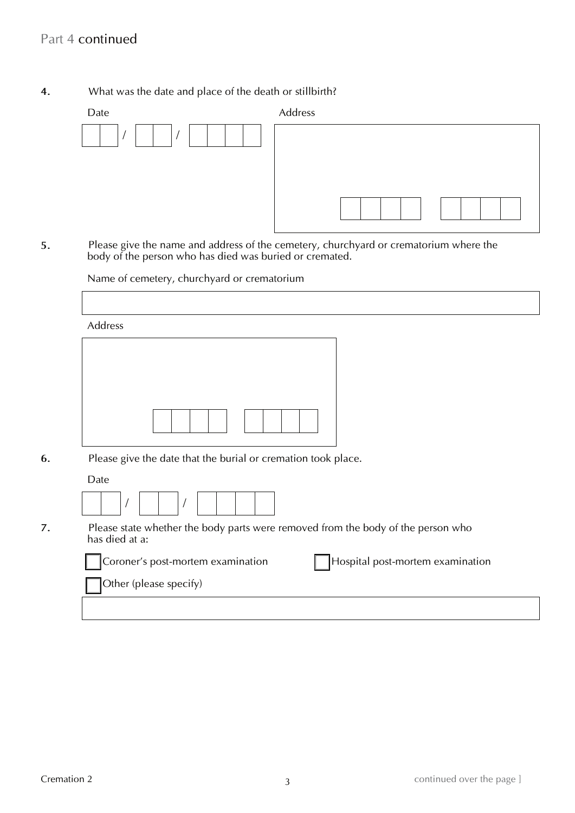## **4.** What was the date and place of the death or stillbirth?

| Date | Address |
|------|---------|
|      |         |

 $\mathbf{A}$ **5.** Please give the name and address of the cemetery, churchyard or crematorium where the body of the person who has died was buried or cremated.

Name of cemetery, churchyard or crematorium

| Address                                                                                            |
|----------------------------------------------------------------------------------------------------|
|                                                                                                    |
|                                                                                                    |
| Please give the date that the burial or cremation took place.                                      |
| Date                                                                                               |
|                                                                                                    |
| Please state whether the body parts were removed from the body of the person who<br>has died at a: |
| Coroner's post-mortem examination<br>Hospital post-mortem examination                              |
| Other (please specify)                                                                             |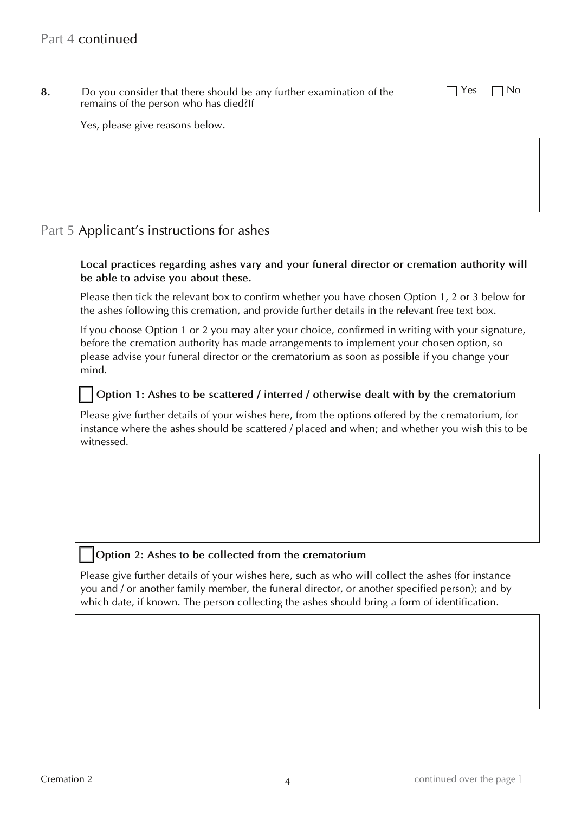**8.** Do you consider that there should be any further examination of the  $\Box$  Yes  $\Box$  No remains of the person who has died?If

Yes, please give reasons below.

# Part 5 Applicant's instructions for ashes

#### **Local practices regarding ashes vary and your funeral director or cremation authority will be able to advise you about these.**

 Please then tick the relevant box to confirm whether you have chosen Option 1, 2 or 3 below for the ashes following this cremation, and provide further details in the relevant free text box.

 before the cremation authority has made arrangements to implement your chosen option, so please advise your funeral director or the crematorium as soon as possible if you change your If you choose Option 1 or 2 you may alter your choice, confirmed in writing with your signature, mind.

## **Option 1: Ashes to be scattered / interred / otherwise dealt with by the crematorium**

 Please give further details of your wishes here, from the options offered by the crematorium, for instance where the ashes should be scattered / placed and when; and whether you wish this to be witnessed.

#### **Option 2: Ashes to be collected from the crematorium**

 Please give further details of your wishes here, such as who will collect the ashes (for instance you and / or another family member, the funeral director, or another specified person); and by which date, if known. The person collecting the ashes should bring a form of identification.